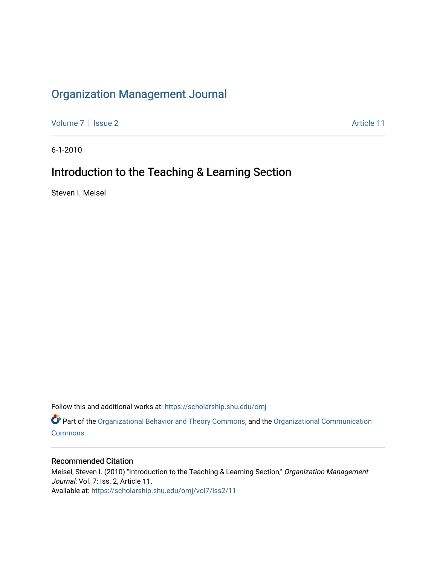## [Organization Management Journal](https://scholarship.shu.edu/omj)

[Volume 7](https://scholarship.shu.edu/omj/vol7) | [Issue 2](https://scholarship.shu.edu/omj/vol7/iss2) Article 11

6-1-2010

## Introduction to the Teaching & Learning Section

Steven I. Meisel

Follow this and additional works at: [https://scholarship.shu.edu/omj](https://scholarship.shu.edu/omj?utm_source=scholarship.shu.edu%2Fomj%2Fvol7%2Fiss2%2F11&utm_medium=PDF&utm_campaign=PDFCoverPages) 

Part of the [Organizational Behavior and Theory Commons,](http://network.bepress.com/hgg/discipline/639?utm_source=scholarship.shu.edu%2Fomj%2Fvol7%2Fiss2%2F11&utm_medium=PDF&utm_campaign=PDFCoverPages) and the [Organizational Communication](http://network.bepress.com/hgg/discipline/335?utm_source=scholarship.shu.edu%2Fomj%2Fvol7%2Fiss2%2F11&utm_medium=PDF&utm_campaign=PDFCoverPages) **[Commons](http://network.bepress.com/hgg/discipline/335?utm_source=scholarship.shu.edu%2Fomj%2Fvol7%2Fiss2%2F11&utm_medium=PDF&utm_campaign=PDFCoverPages)** 

### Recommended Citation

Meisel, Steven I. (2010) "Introduction to the Teaching & Learning Section," Organization Management Journal: Vol. 7: Iss. 2, Article 11. Available at: [https://scholarship.shu.edu/omj/vol7/iss2/11](https://scholarship.shu.edu/omj/vol7/iss2/11?utm_source=scholarship.shu.edu%2Fomj%2Fvol7%2Fiss2%2F11&utm_medium=PDF&utm_campaign=PDFCoverPages)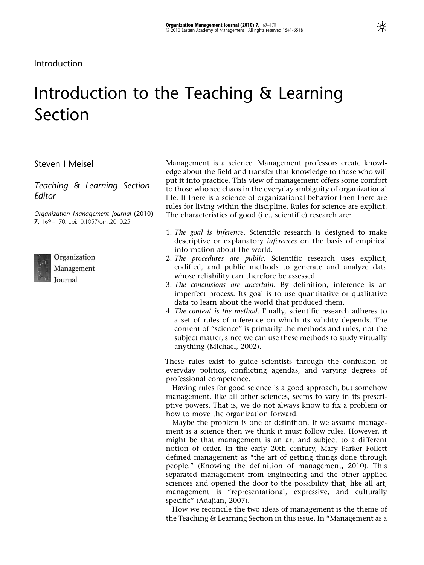# Introduction to the Teaching & Learning Section

Steven I Meisel

Teaching & Learning Section Editor

Organization Management Journal (2010) 7, 169–170. doi:10.1057/omj.2010.25



Organization Management Journal

Management is a science. Management professors create knowledge about the field and transfer that knowledge to those who will put it into practice. This view of management offers some comfort to those who see chaos in the everyday ambiguity of organizational life. If there is a science of organizational behavior then there are rules for living within the discipline. Rules for science are explicit. The characteristics of good (i.e., scientific) research are:

- 1. The goal is inference. Scientific research is designed to make descriptive or explanatory inferences on the basis of empirical information about the world.
- 2. The procedures are public. Scientific research uses explicit, codified, and public methods to generate and analyze data whose reliability can therefore be assessed.
- 3. The conclusions are uncertain. By definition, inference is an imperfect process. Its goal is to use quantitative or qualitative data to learn about the world that produced them.
- 4. The content is the method. Finally, scientific research adheres to a set of rules of inference on which its validity depends. The content of "science" is primarily the methods and rules, not the subject matter, since we can use these methods to study virtually anything (Michael, 2002).

These rules exist to guide scientists through the confusion of everyday politics, conflicting agendas, and varying degrees of professional competence.

Having rules for good science is a good approach, but somehow management, like all other sciences, seems to vary in its prescriptive powers. That is, we do not always know to fix a problem or how to move the organization forward.

Maybe the problem is one of definition. If we assume management is a science then we think it must follow rules. However, it might be that management is an art and subject to a different notion of order. In the early 20th century, Mary Parker Follett defined management as "the art of getting things done through people." (Knowing the definition of management, 2010). This separated management from engineering and the other applied sciences and opened the door to the possibility that, like all art, management is "representational, expressive, and culturally specific" (Adajian, 2007).

How we reconcile the two ideas of management is the theme of the Teaching & Learning Section in this issue. In "Management as a